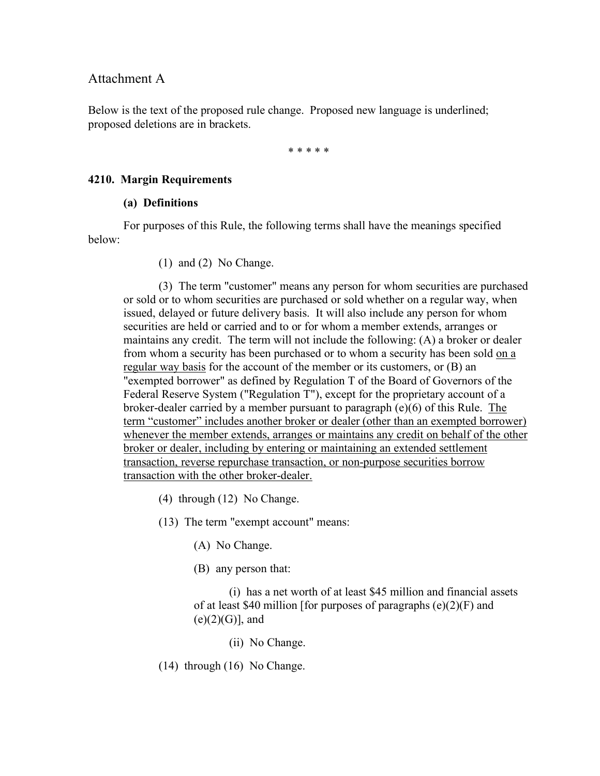### Attachment A

Below is the text of the proposed rule change. Proposed new language is underlined; proposed deletions are in brackets.

\* \* \* \* \*

### **4210. Margin Requirements**

### **(a) Definitions**

For purposes of this Rule, the following terms shall have the meanings specified below:

(1) and (2) No Change.

(3) The term "customer" means any person for whom securities are purchased or sold or to whom securities are purchased or sold whether on a regular way, when issued, delayed or future delivery basis. It will also include any person for whom securities are held or carried and to or for whom a member extends, arranges or maintains any credit. The term will not include the following: (A) a broker or dealer from whom a security has been purchased or to whom a security has been sold on a regular way basis for the account of the member or its customers, or (B) an "exempted borrower" as defined by Regulation T of the Board of Governors of the Federal Reserve System ("Regulation T"), except for the proprietary account of a broker-dealer carried by a member pursuant to paragraph (e)(6) of this Rule. The term "customer" includes another broker or dealer (other than an exempted borrower) whenever the member extends, arranges or maintains any credit on behalf of the other broker or dealer, including by entering or maintaining an extended settlement transaction, reverse repurchase transaction, or non-purpose securities borrow transaction with the other broker-dealer.

- (4) through (12) No Change.
- (13) The term "exempt account" means:
	- (A) No Change.
	- (B) any person that:

(i) has a net worth of at least \$45 million and financial assets of at least \$40 million [for purposes of paragraphs  $(e)(2)(F)$  and  $(e)(2)(G)$ ], and

- (ii) No Change.
- (14) through (16) No Change.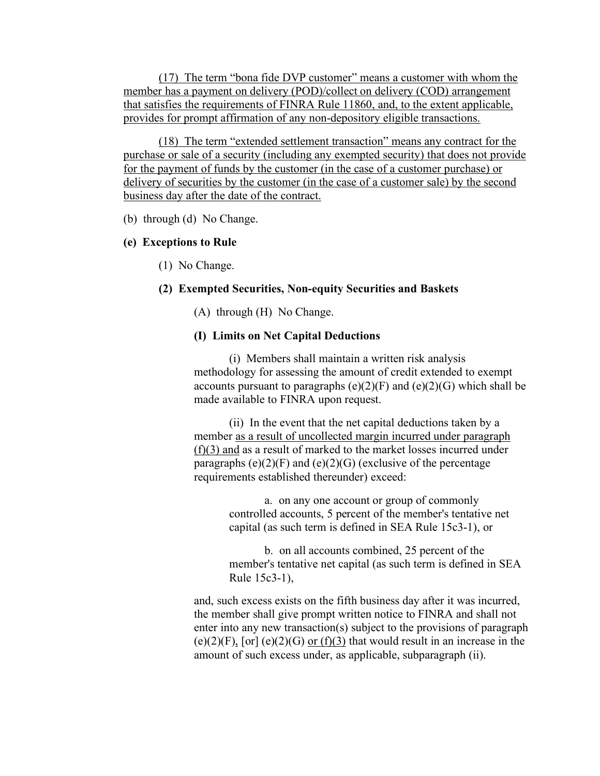(17) The term "bona fide DVP customer" means a customer with whom the member has a payment on delivery (POD)/collect on delivery (COD) arrangement that satisfies the requirements of FINRA Rule 11860, and, to the extent applicable, provides for prompt affirmation of any non-depository eligible transactions.

(18) The term "extended settlement transaction" means any contract for the purchase or sale of a security (including any exempted security) that does not provide for the payment of funds by the customer (in the case of a customer purchase) or delivery of securities by the customer (in the case of a customer sale) by the second business day after the date of the contract.

(b) through (d) No Change.

## **(e) Exceptions to Rule**

(1) No Change.

## **(2) Exempted Securities, Non-equity Securities and Baskets**

(A) through (H) No Change.

## **(I) Limits on Net Capital Deductions**

(i) Members shall maintain a written risk analysis methodology for assessing the amount of credit extended to exempt accounts pursuant to paragraphs  $(e)(2)(F)$  and  $(e)(2)(G)$  which shall be made available to FINRA upon request.

(ii) In the event that the net capital deductions taken by a member as a result of uncollected margin incurred under paragraph (f)(3) and as a result of marked to the market losses incurred under paragraphs  $(e)(2)(F)$  and  $(e)(2)(G)$  (exclusive of the percentage requirements established thereunder) exceed:

> a. on any one account or group of commonly controlled accounts, 5 percent of the member's tentative net capital (as such term is defined in SEA Rule 15c3-1), or

b. on all accounts combined, 25 percent of the member's tentative net capital (as such term is defined in SEA Rule 15c3-1),

and, such excess exists on the fifth business day after it was incurred, the member shall give prompt written notice to FINRA and shall not enter into any new transaction(s) subject to the provisions of paragraph (e)(2)(F), [or] (e)(2)(G) or (f)(3) that would result in an increase in the amount of such excess under, as applicable, subparagraph (ii).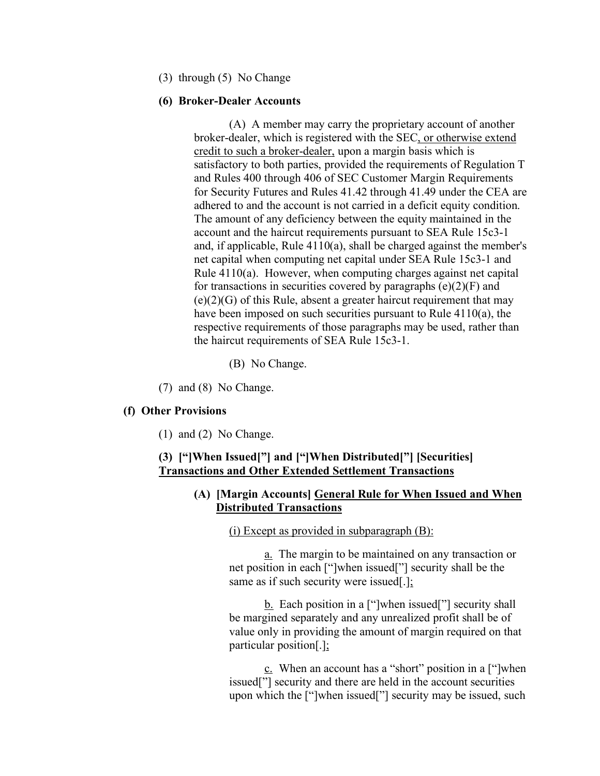(3) through (5) No Change

#### **(6) Broker-Dealer Accounts**

(A) A member may carry the proprietary account of another broker-dealer, which is registered with the SEC, or otherwise extend credit to such a broker-dealer, upon a margin basis which is satisfactory to both parties, provided the requirements of Regulation T and Rules 400 through 406 of SEC Customer Margin Requirements for Security Futures and Rules 41.42 through 41.49 under the CEA are adhered to and the account is not carried in a deficit equity condition. The amount of any deficiency between the equity maintained in the account and the haircut requirements pursuant to SEA Rule 15c3-1 and, if applicable, Rule 4110(a), shall be charged against the member's net capital when computing net capital under SEA Rule 15c3-1 and Rule 4110(a). However, when computing charges against net capital for transactions in securities covered by paragraphs  $(e)(2)(F)$  and  $(e)(2)(G)$  of this Rule, absent a greater haircut requirement that may have been imposed on such securities pursuant to Rule 4110(a), the respective requirements of those paragraphs may be used, rather than the haircut requirements of SEA Rule 15c3-1.

- (B) No Change.
- (7) and (8) No Change.

#### **(f) Other Provisions**

(1) and (2) No Change.

### **(3) ["]When Issued["] and ["]When Distributed["] [Securities] Transactions and Other Extended Settlement Transactions**

### **(A) [Margin Accounts] General Rule for When Issued and When Distributed Transactions**

(i) Except as provided in subparagraph  $(B)$ :

a. The margin to be maintained on any transaction or net position in each ["]when issued["] security shall be the same as if such security were issued[.];

**b.** Each position in a ["]when issued["] security shall be margined separately and any unrealized profit shall be of value only in providing the amount of margin required on that particular position[.];

c. When an account has a "short" position in a ["]when issued["] security and there are held in the account securities upon which the ["]when issued["] security may be issued, such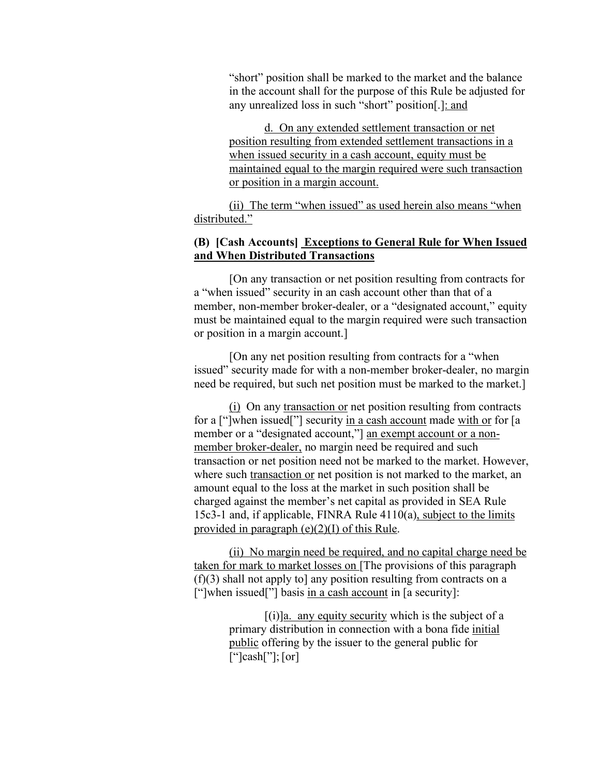"short" position shall be marked to the market and the balance in the account shall for the purpose of this Rule be adjusted for any unrealized loss in such "short" position[.]: and

d. On any extended settlement transaction or net position resulting from extended settlement transactions in a when issued security in a cash account, equity must be maintained equal to the margin required were such transaction or position in a margin account.

(ii) The term "when issued" as used herein also means "when distributed."

## **(B) [Cash Accounts] Exceptions to General Rule for When Issued and When Distributed Transactions**

[On any transaction or net position resulting from contracts for a "when issued" security in an cash account other than that of a member, non-member broker-dealer, or a "designated account," equity must be maintained equal to the margin required were such transaction or position in a margin account.]

[On any net position resulting from contracts for a "when issued" security made for with a non-member broker-dealer, no margin need be required, but such net position must be marked to the market.]

(i) On any transaction or net position resulting from contracts for a ["]when issued["] security in a cash account made with or for [a member or a "designated account," an exempt account or a nonmember broker-dealer, no margin need be required and such transaction or net position need not be marked to the market. However, where such transaction or net position is not marked to the market, an amount equal to the loss at the market in such position shall be charged against the member's net capital as provided in SEA Rule 15c3-1 and, if applicable, FINRA Rule 4110(a), subject to the limits provided in paragraph (e)(2)(I) of this Rule.

(ii) No margin need be required, and no capital charge need be taken for mark to market losses on [The provisions of this paragraph (f)(3) shall not apply to] any position resulting from contracts on a ["]when issued["] basis in a cash account in [a security]:

> $[(i)]$ a. any equity security which is the subject of a primary distribution in connection with a bona fide initial public offering by the issuer to the general public for  $\lceil$ " $\cosh$ " $\lceil$ ;  $\lceil$  or  $\rceil$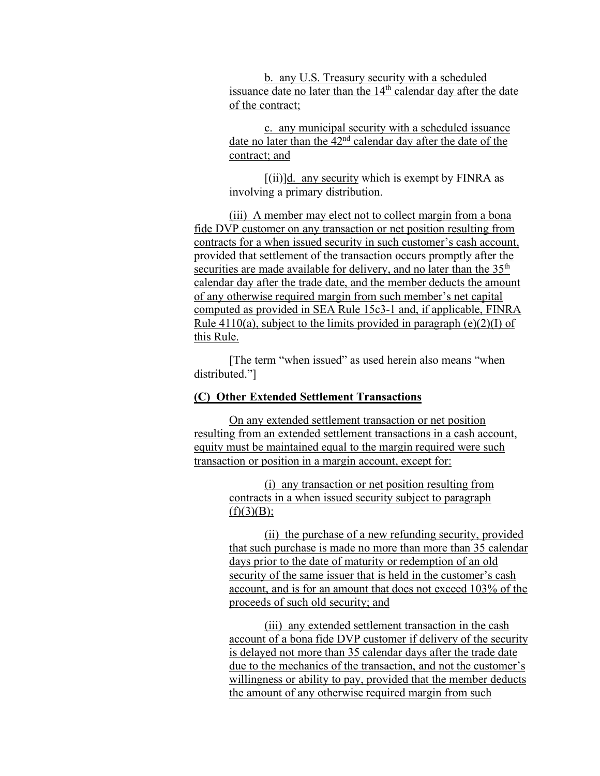b. any U.S. Treasury security with a scheduled issuance date no later than the  $14<sup>th</sup>$  calendar day after the date of the contract;

c. any municipal security with a scheduled issuance date no later than the 42nd calendar day after the date of the contract; and

 $[(ii)]$ d. any security which is exempt by FINRA as involving a primary distribution.

(iii) A member may elect not to collect margin from a bona fide DVP customer on any transaction or net position resulting from contracts for a when issued security in such customer's cash account, provided that settlement of the transaction occurs promptly after the securities are made available for delivery, and no later than the  $35<sup>th</sup>$ calendar day after the trade date, and the member deducts the amount of any otherwise required margin from such member's net capital computed as provided in SEA Rule 15c3-1 and, if applicable, FINRA Rule 4110(a), subject to the limits provided in paragraph (e)(2)(I) of this Rule.

[The term "when issued" as used herein also means "when distributed."]

### **(C) Other Extended Settlement Transactions**

On any extended settlement transaction or net position resulting from an extended settlement transactions in a cash account, equity must be maintained equal to the margin required were such transaction or position in a margin account, except for:

> (i) any transaction or net position resulting from contracts in a when issued security subject to paragraph  $(f)(3)(B);$

(ii) the purchase of a new refunding security, provided that such purchase is made no more than more than 35 calendar days prior to the date of maturity or redemption of an old security of the same issuer that is held in the customer's cash account, and is for an amount that does not exceed 103% of the proceeds of such old security; and

(iii) any extended settlement transaction in the cash account of a bona fide DVP customer if delivery of the security is delayed not more than 35 calendar days after the trade date due to the mechanics of the transaction, and not the customer's willingness or ability to pay, provided that the member deducts the amount of any otherwise required margin from such